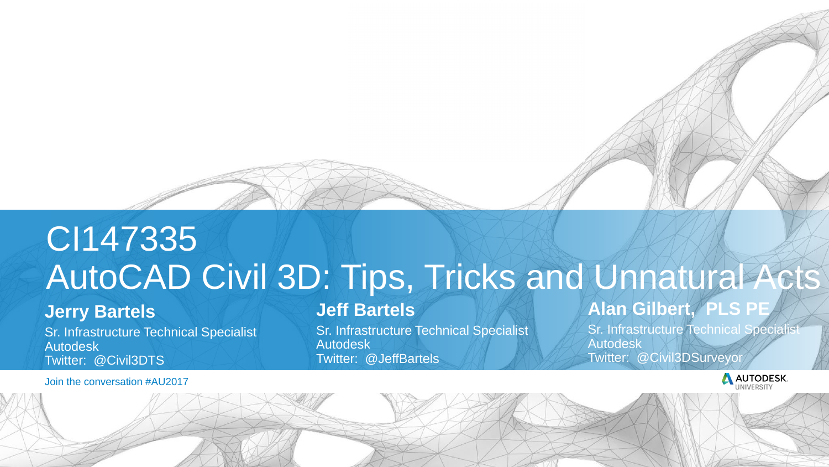Join the conversation #AU2017



## CI147335 AutoCAD Civil 3D: Tips, Tricks and Unnatural Acts

Sr. Infrastructure Technical Specialist Autodesk Twitter: @Civil3DTS

#### **Jerry Bartels**

Sr. Infrastructure Technical Specialist Autodesk Twitter: @JeffBartels

#### **Jeff Bartels**

Sr. Infrastructure Technical Specialist Autodesk Twitter: @Civil3DSurveyor



#### **Alan Gilbert, PLS PE**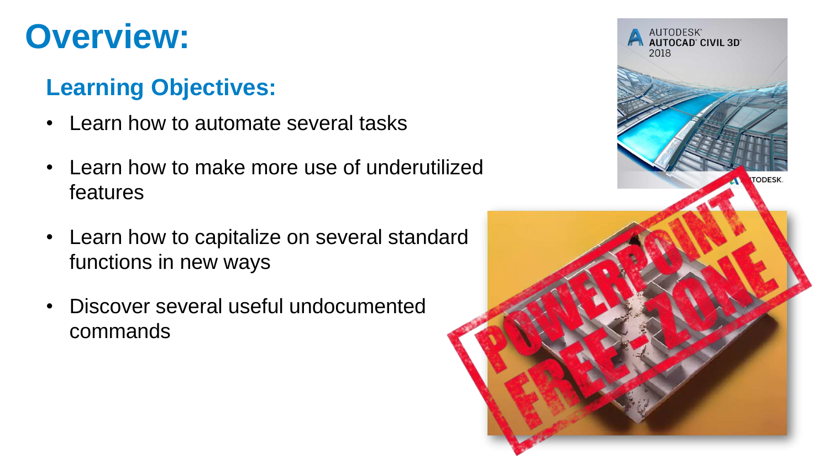### **Overview:**

#### **Learning Objectives:**

- Learn how to automate several tasks
- Learn how to make more use of underutilized features
- Learn how to capitalize on several standard functions in new ways
- Discover several useful undocumented commands

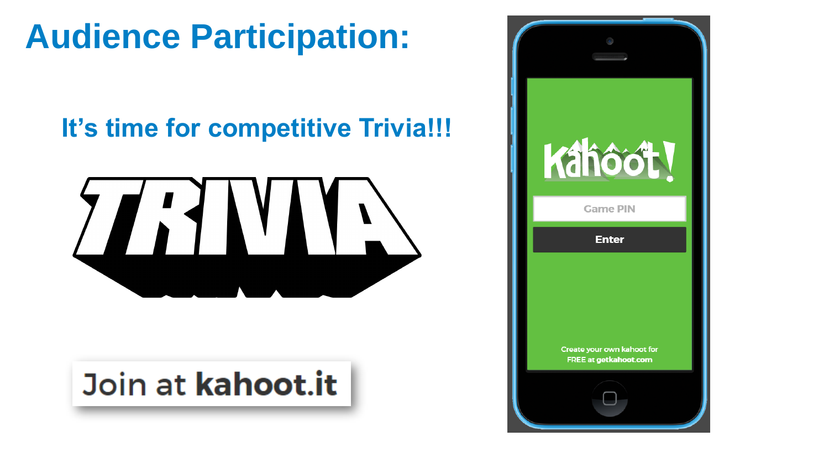## **Audience Participation:**

#### **It's time for competitive Trivia!!!**



## Join at kahoot.it



## Kahoot

#### **Game PIN**

**Enter** 

Create your own kahoot for **FREE at getkahoot.com**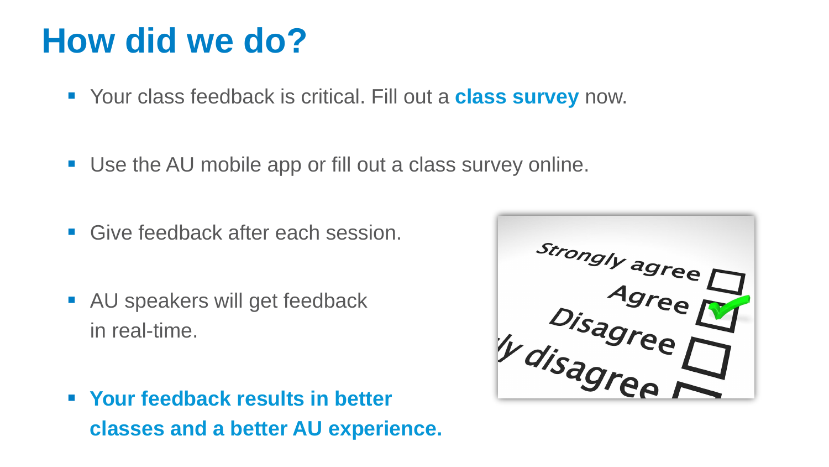- Your class feedback is critical. Fill out a **class survey** now.
- Use the AU mobile app or fill out a class survey online.
- Give feedback after each session.
- **AU speakers will get feedback** in real-time.



 **Your feedback results in better classes and a better AU experience.**

## **How did we do?**